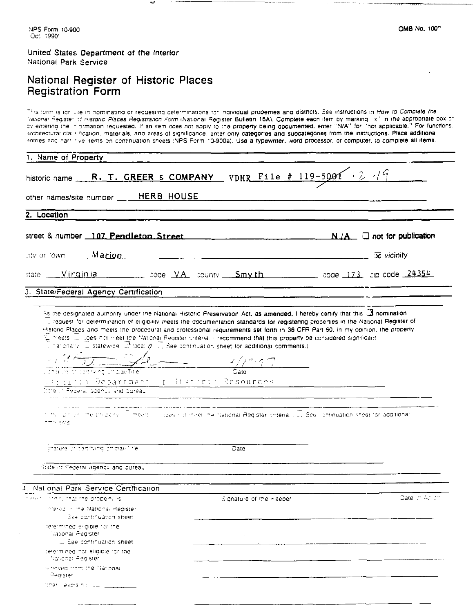## United States Department of the Interior National Park Service

tther liekprain classically

## National Register of Historic Places Registration Form

This torm is for use in nominating or requesting determinations for individual properties and districts. See instructions in How to Complete the Vational Register of Historic Places Registration Form (National Register Bulletin 16A). Complete each item by marking [x1] in the appropriate box or overtening the in instance riguation of the manufacturing state burden with sumplex continuing intermal growther." For functions, architectural claris fication, materials, and areas of significance, enter only categories and subcategories from the instructions. Place additional antries and narritive items on continuation sneets (NPS Form 10-900a), Use a typewriter, word processor, or computer, to complete all items.

| 1. Name of Property                                                                                                                                                                                                                                                                                                                                                                                                                                                |                                         |  |                 |  |  |  |
|--------------------------------------------------------------------------------------------------------------------------------------------------------------------------------------------------------------------------------------------------------------------------------------------------------------------------------------------------------------------------------------------------------------------------------------------------------------------|-----------------------------------------|--|-----------------|--|--|--|
| historic name _____R.__T. GREER & COMPANY _____ VDHR_____File # 119-5001  2 -19                                                                                                                                                                                                                                                                                                                                                                                    |                                         |  |                 |  |  |  |
|                                                                                                                                                                                                                                                                                                                                                                                                                                                                    | other names/site number ____ HERB HOUSE |  |                 |  |  |  |
| 2. Location                                                                                                                                                                                                                                                                                                                                                                                                                                                        |                                         |  |                 |  |  |  |
|                                                                                                                                                                                                                                                                                                                                                                                                                                                                    |                                         |  |                 |  |  |  |
| $\alpha$ by or town $\cdots$ <b>Marion</b>                                                                                                                                                                                                                                                                                                                                                                                                                         |                                         |  |                 |  |  |  |
| state Vinginia code VA sounty Smyth code 173 ap-code 24354                                                                                                                                                                                                                                                                                                                                                                                                         |                                         |  |                 |  |  |  |
| 3. State/Federal Agency Certification                                                                                                                                                                                                                                                                                                                                                                                                                              |                                         |  |                 |  |  |  |
| $\mathbb T$ meets $\mathbb T$ coes not meet the National Reqister chterial (recommend that this property be considered significant<br>The charge $\mathbb Z$ statewide $\mathbb Z$ todaily $\mathbb Z$ See continuation sheet for additional comments.)<br>$\frac{1}{\sqrt{1-\frac{1}{2}}\sqrt{1-\frac{1}{2}}\sqrt{1-\frac{1}{2}}}}$<br>Jianai trei chi cortrixing ich claw Tibe<br>Circinia Department of Historic Resources<br>Mate of Federal Spency and bureau |                                         |  |                 |  |  |  |
| ilms ibin chi che properto i Timeers ili coesinot meet the National Register criteria. ILI See i chtinuation sheet for additional<br>omments                                                                                                                                                                                                                                                                                                                       |                                         |  |                 |  |  |  |
| Eunature of certifying prioral Tire                                                                                                                                                                                                                                                                                                                                                                                                                                | Date                                    |  |                 |  |  |  |
| State of Federal agency and bureau                                                                                                                                                                                                                                                                                                                                                                                                                                 |                                         |  |                 |  |  |  |
| National Park Service Certification                                                                                                                                                                                                                                                                                                                                                                                                                                |                                         |  |                 |  |  |  |
| ered international the property is                                                                                                                                                                                                                                                                                                                                                                                                                                 | Signature of the Heeper                 |  | Date: chi-color |  |  |  |
| Intered in the National Register<br>See continuation sheet                                                                                                                                                                                                                                                                                                                                                                                                         |                                         |  |                 |  |  |  |
| tetermined eligible for the<br>National Register :<br>L. See continuation sheet                                                                                                                                                                                                                                                                                                                                                                                    | $\sim 10^{-1}$                          |  |                 |  |  |  |
| tetermined not eliqible for the<br>National Reqister                                                                                                                                                                                                                                                                                                                                                                                                               |                                         |  |                 |  |  |  |
| removed from the Hational<br>Healster                                                                                                                                                                                                                                                                                                                                                                                                                              |                                         |  |                 |  |  |  |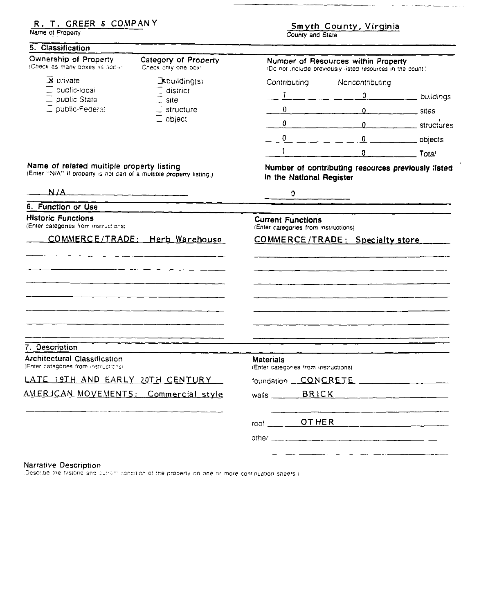## R. T. GREER & COMPANY

Name of Property

5. Classification

# Smyth County, Virginia

20. apr

.<br>مستحدث المستحدث المعاملة

| Ownership of Property<br>Check as many boxes as appro-                                                            | Category of Property<br>Check only one boxi |                                                                  | Number of Resources within Property<br>(Do not include previously listed resources in the count.) |                               |
|-------------------------------------------------------------------------------------------------------------------|---------------------------------------------|------------------------------------------------------------------|---------------------------------------------------------------------------------------------------|-------------------------------|
| $\overline{\mathbf{X}}$ private                                                                                   | $\exists$ xbuilding(s)                      | Contributing                                                     | Noncontributing                                                                                   |                               |
| $\equiv$ public-local<br>$\equiv$ public-State                                                                    | $=$ district<br>$\subseteq$ site            | $\mathbf{1}$                                                     | $\mathbf{0}$                                                                                      | buildings                     |
| C public-Federal                                                                                                  | $\equiv$ structure<br>$\equiv$ object       | 0                                                                |                                                                                                   | 0                             |
|                                                                                                                   |                                             | $0 \qquad \qquad$                                                |                                                                                                   | 0 ________________ structures |
|                                                                                                                   |                                             | 0                                                                | $\mathbf{0}$                                                                                      | $\frac{1}{2}$ objects         |
|                                                                                                                   |                                             | $\mathbf{1}$                                                     | $\mathbf{0}$                                                                                      | Total                         |
| Name of related multiple property listing<br>(Enter "N/A" if property is not can of a multiple property listing.) |                                             | in the National Register                                         | Number of contributing resources previously listed                                                |                               |
| N/A                                                                                                               |                                             | 0                                                                |                                                                                                   |                               |
| 6. Function or Use                                                                                                |                                             |                                                                  |                                                                                                   |                               |
| <b>Historic Functions</b><br>(Enter categories from instructions)                                                 |                                             | <b>Current Functions</b><br>(Enter categories from instructions) |                                                                                                   |                               |
| COMMERCE/TRADE: Herb Warehouse                                                                                    |                                             |                                                                  | COMMERCE/TRADE: Specialty store                                                                   |                               |
|                                                                                                                   |                                             |                                                                  |                                                                                                   |                               |
|                                                                                                                   |                                             |                                                                  | <u> — — — — — — — — — — — — — — — —</u>                                                           |                               |
|                                                                                                                   |                                             |                                                                  |                                                                                                   |                               |
|                                                                                                                   |                                             |                                                                  |                                                                                                   |                               |
|                                                                                                                   |                                             |                                                                  |                                                                                                   |                               |
|                                                                                                                   |                                             |                                                                  |                                                                                                   |                               |
|                                                                                                                   |                                             |                                                                  |                                                                                                   |                               |
| 7. Description                                                                                                    |                                             |                                                                  |                                                                                                   |                               |
| <b>Architectural Classification</b><br>(Enter categories from instructions)                                       |                                             | <b>Materials</b><br>(Enter categories from instructions)         |                                                                                                   |                               |
| LATE 19TH AND EARLY 20TH CENTURY                                                                                  |                                             | foundation CONCRETE                                              |                                                                                                   |                               |
| AMERICAN MOVEMENTS: Commercial style                                                                              |                                             | BRICK<br>walls $\frac{1}{2}$                                     |                                                                                                   |                               |
|                                                                                                                   |                                             | $root$ $OTHER$                                                   |                                                                                                   |                               |
|                                                                                                                   |                                             |                                                                  |                                                                                                   |                               |
|                                                                                                                   |                                             |                                                                  |                                                                                                   |                               |
|                                                                                                                   |                                             |                                                                  |                                                                                                   |                               |

#### Narrative Description

:Describe the historic and current condition of the property on one or more continuation sheets.)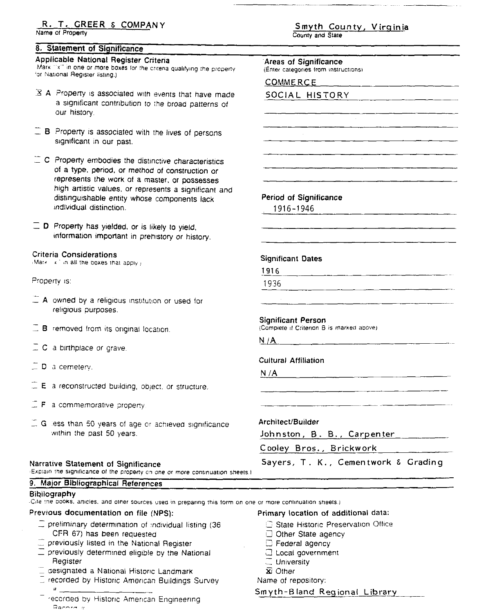## <u>R. T. GREER & COMPANY</u>

Name of Property

## 8. Statement of Significance

## Applicable National Register Criteria

Mark "x" in one or more boxes for the criteria qualifying the prope for National Register listing.)

- $\overline{\mathbf{X}}$  A. Property is associated with events that have may a significant contribution to the broad patterns o our history.
- $\Box$  B. Property is associated with the lives of persons significant in our past.
- $\equiv$  C. Property embodies the distinctive characteristics of a type, period, or method of construction or represents the work of a master, or possesses high artistic values, or represents a significant an distinguishable entity whose components lack individual distinction.
- $\Box$  D Property has yielded, or is likely to yield, information important in prehistory or history.

## **Criteria Considerations**

Market in all the boxes that apply /

Property is:

- $\equiv$  A owned by a religious institution or used for religious purposes.
- $\Box$  B removed from its original location
- $\Box$  C a birthplace or grave.
- $\square$  D a cemetery.

Bibilography

- $\Box$  E a reconstructed building, object, or structure,
- $\Box$  **F** a commemorative property
- $\Box$  G less than 50 years of age or achieved significanc within the past 50 years.

## Narrative Statement of Significance

9. Major Bibliographical References

Explain the significance of the property on one or more continuation

Smyth County, Virginia

County and State

|            | Areas of Significance<br>(Enter categories from instructions)   |
|------------|-----------------------------------------------------------------|
|            | <b>COMMERCE</b>                                                 |
|            | SOCIAL HISTORY                                                  |
|            |                                                                 |
|            |                                                                 |
|            |                                                                 |
|            |                                                                 |
|            |                                                                 |
|            |                                                                 |
|            | Period of Significance<br>1916-1946                             |
|            |                                                                 |
|            |                                                                 |
|            |                                                                 |
|            | <b>Significant Dates</b>                                        |
|            | 1916                                                            |
|            | 1936                                                            |
|            |                                                                 |
|            | Significant Person<br>(Complete if Criterion B is marked above) |
|            | N/A                                                             |
|            | <b>Cultural Affiliation</b>                                     |
|            | N /A<br><u> 1980 - An Aonaichte ann an Aonaichte ann an t-</u>  |
|            |                                                                 |
|            |                                                                 |
|            |                                                                 |
|            | Architect/Builder                                               |
|            | Johnston, B. B., Carpenter                                      |
|            | Cooley Bros., Brickwork                                         |
| 1 sheets.l | Sayers, T. K., Cementwork & Grading                             |

Cite the books, articles, and other sources used in preparing this form on one or more continuation sheets.)

## Previous documentation on file (NPS):

- $\Box$  preliminary determination of individual listing (36 CFR 67) has been requested
- $\equiv$  previously listed in the National Register
- $\Box$  previously determined eligible by the National Register
- E designated a National Historic Landmark
- $\square$  recorded by Historic American Buildings Survey  $\boldsymbol{\sharp}$ 
	- recorded by Historic American Engineering Record a

Primary location of additional data:

- **State Historic Preservation Office**
- $\Box$  Other State agency
- $\Box$  Federal agency
- **C** Local government
- $\sqsubseteq$  University
- $\overline{\mathbf{x}}$  Other

Name of repository:

Smyth-Bland Regional Library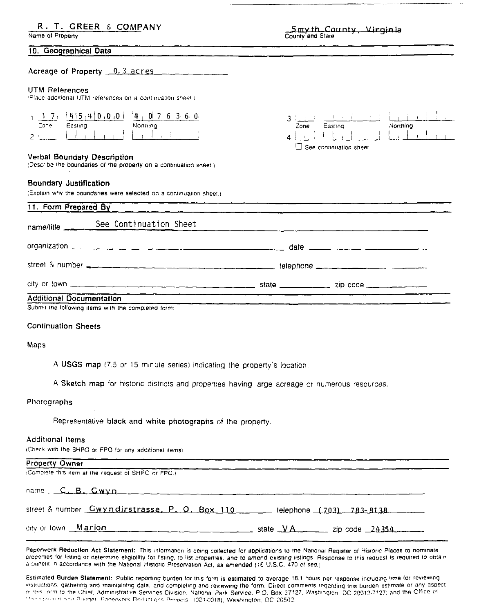## R. T. GREER & COMPANY

Name of Property

Smyth County, Virginia

Easting

 $\Box$  See continuation sheet

Northing

3

Zone

#### 10. Geographical Data

Acreage of Property 0.3 acres

#### **UTM References**

(Place additional UTM references on a continuation sheet).

|      |         | $1.71$ $1415.410.000$ $14.07636.00$ |
|------|---------|-------------------------------------|
| Zone | Easting | Northing                            |
|      |         |                                     |

#### Verbal Boundary Description

(Describe the boundaries of the property on a continuation sheet.)

#### Boundary Justification

(Explain why the boundaries were selected on a continuation sheet.)

| 11. Form Prepared By                                                                 |                                                                                                                                                                                                                                      |  |  |
|--------------------------------------------------------------------------------------|--------------------------------------------------------------------------------------------------------------------------------------------------------------------------------------------------------------------------------------|--|--|
| name/title See Continuation Sheet                                                    |                                                                                                                                                                                                                                      |  |  |
|                                                                                      |                                                                                                                                                                                                                                      |  |  |
|                                                                                      | street & number <b>see the contract of the street of the contract of the contract of the contract of the contract of the contract of the contract of the contract of the contract of the contract of the contract of the contrac</b> |  |  |
|                                                                                      |                                                                                                                                                                                                                                      |  |  |
| <b>Additional Documentation</b><br>Cubmit the following dama with the completed from |                                                                                                                                                                                                                                      |  |  |

Submit the following items with the completed form:

#### **Continuation Sheets**

#### Maps

A USGS map (7.5 or 15 minute series) indicating the property's location.

A Sketch map for historic districts and properties having large acreage or numerous resources.

#### Photographs

Representative black and white photographs of the property.

#### Additional Items

(Check with the SHPO or FPO for any additional items)

| <b>Property Owner</b>                                                        |                             |
|------------------------------------------------------------------------------|-----------------------------|
| (Complete this item at the request of SHPO or FPO.).                         |                             |
| name C.B. Gwyn                                                               |                             |
| street & number Gwyndirstrasse, P. O. Box 110 _____ telephone (703) 783-8138 |                             |
| city or town Marion                                                          | state $VA$ zip code $24354$ |

Paperwork Reduction Act Statement: This information is being collected for applications to the National Register of Historic Places to nominate properties for listing or determine eligibility for listing, to list properties, and to amend existing listings. Response to this request is required to obtain a benefit in accordance with the National Historic Preservation Act, as amended (16 U.S.C. 470 et seq.)

Estimated Burden Statement: Public reporting burden for this form is estimated to average 18.1 hours per response including time for reviewing instructions, gathering and maintaining data, and completing and reviewing the form. Direct comments regarding this burden estimate or any aspect of this form to the Chief, Administrative Services Division. National Park Service, P.O. Box 37127, Washington, DC 20013-7127; and the Office of 2150 Sportsm. Som Burtget, Papenvork Beductions Projects (1024-0018), Washington, DC 20503.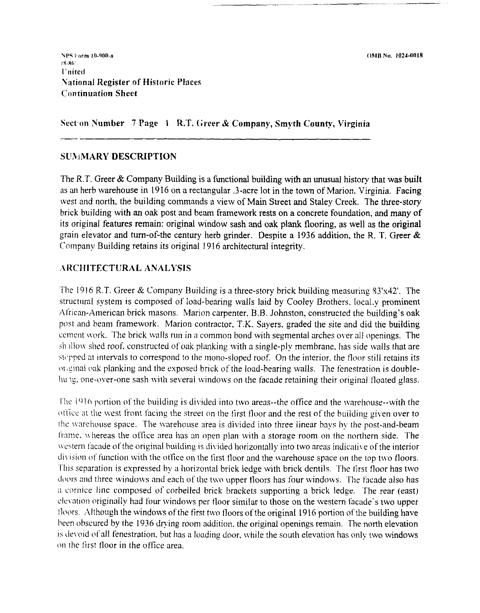OMB No. 1024-0018

Sect'on Number 7 Page 1 R.T. Greer & Company, Smyth County, Virginia

## **SLIAMARY DESCRIPTION**

The R.T. Greer  $\&$  Company Building is a functional building with an unusual history that was built as an herb warehouse in 1916 on a rectangular .3-acre lot in the town of Marion. Virginia. Facing west and north. the building commands a view of Main Street and Staley Creek. The three-story brick building with an oak post and beam framework rests on a concrete foundation, and many of its original features remain: original window sash and oak plank flooring, as well as the original grain elevator and turn-of-the century herb grinder. Despite a 1936 addition, the R. T. Greer  $\&$ Company Building retains its original 1916 architectural integrity.

## ARCHITECTURAL ANALYSIS

The 1916 R.T. Greer & Company Building is a three-story brick building measuring  $33'x42'$ . The structural system is composed of load-bearing walls laid by Cooley Brothers. 1ocal.y prominent  $\Lambda$ frican-American brick masons. Marion carpenter, B.B. Johnston, constructed the building's oak post and beam framework. Marion contractor. T.K. Sayers. graded the site and did the building cement work. The brick walls run in a common bond with segmental arches over all openings. The shallow shed roof, constructed of oak planking with a single-ply membrane, has side walls that are stepped at intervals to correspond to the mono-sloped roof. On the interior, the floor still retains its onginal oak planking and the exposed brick of the load-bearing walls. The fenestration is doublehung, one-over-one sash with several windows on the facade retaining their original floated glass.

The  $1916$  portion of the building is divided into two areas--the office and the warehouse--with the office at the west front facing the street on the first floor and the rest of the building given over to the warehouse space. The warehouse area is divided into three linear bays by the post-and-beam frame, whereas the office area has an open plan with a storage room on the northern side. The western facade of the original building is divided horizontally into two areas indicative of the interior division of function with the office on the first floor and the warehouse space on the top two floors. This separation is expressed by a horizontal brick ledge with brick dentils. The first floor has two doors and three windows and each of the two upper floors has four windows. The facade also has a cornice line composed of corbelled brick brackets supporting a brick ledge. The rear (east) elevation originally had four windows per tloor similar to those on the western facade's two upper floors. Although the windows of the first two floors of the original 1916 portion of the building have been obscured by the 1936 drying room addition, the original openings remain. The north elevation is devoid of all fenestration, but has a loading door, while the south elevation has only two windows on the first floor in the office area.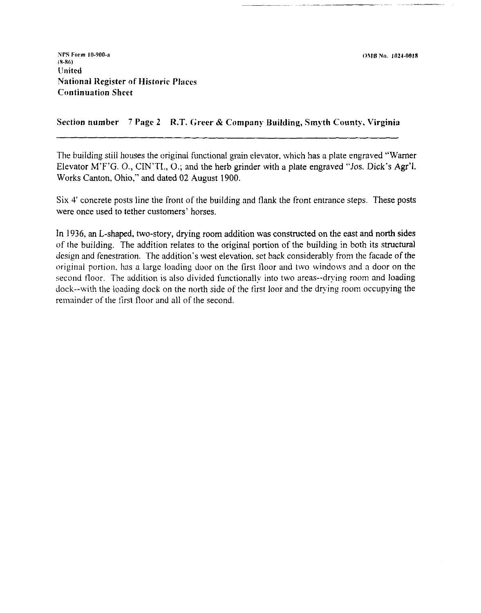Section number 7 Pagc **2** R.T. **Greer** & Company Building, **Srnyth** County. Virginia

The building still houses the original functional grain elevator. which has a plate engraved "Warner Elevator M'F'G. O., CIN'TI., 0.; and the herb grinder with a plate engraved "Jos. Dick's Agr'l. Works Canton, Ohio," and dated 02 August 1900.

Six 4' concrete posts line the front of the building and flank the front entrance steps. These posts were once used to tether customers' horses.

In 1936. an L-shaped, two-story, drying room addition was constructed on the east and north sides of the building. The addition relates to the original portion of the building in both its structural design and fenestration. The addition's west elevation. set back considerably from the facade of the original portion, has a large loading door on the first floor and two windows and a door on the second floor. The addition is also divided functionally into two areas--drying room and loading dock--with the loading dock on the north side of the first loor and the drying room occupying the remainder of the first floor and all of the second.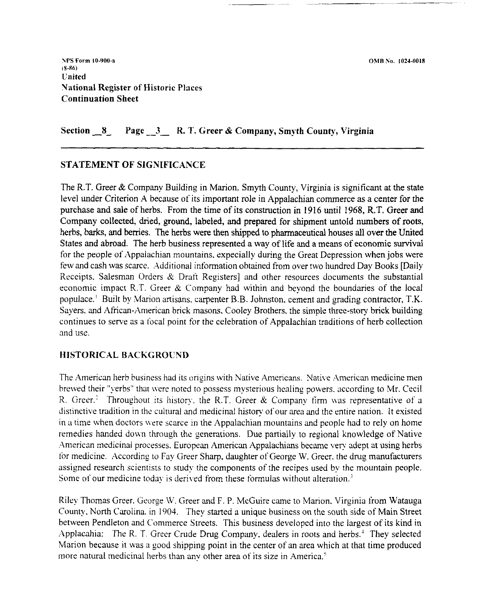Section **-8** Page - **3** - R. T. Greer & Company, Smyth County, Virginia

## STATEMENT OF SIGNIFICANCE

The R.T. Greer & Company Building in Marion. Smyth County, Virginia is significant at the state level under Criterion A because of its important role in Appalachian commerce as a center for the purchase and sale of herbs. From the time of its construction in 1916 until 1968, R.T. Greer and Company collected, dried, ground, labeled, and prepared for shipment untold numbers of roots, herbs, barks, **and** berries. The herbs were then shipped to pharmaceutical houses all over the United States and abroad. The herb business represented a way of life and a means of economic survival for the people of Appalachian mountains, expecially during the Great Depression when jobs were few and cash was scarce. Additional information obtained from over two hundred Day Books [Daily Receipts. Salesman Orders  $\&$  Draft Registers] and other resources documents the substantial economic impact R.T. Greer  $&$  Company had within and beyond the boundaries of the local populace.' Built by Marion artisans. carpenter B.B. Johnston. cement and grading contractor, T.K. Sayers, and African-American brick masons, Cooley Brothers, the simple three-story brick building continues to serve as a focal point for the celebration of Appalachian traditions of herb collection and use.

## HISTORICAL BACKGROUND

The American herb business had its origins with Native Americans. Native American medicine men brewed their "yerbs" that were noted to possess mysterious healing powers, according to Mr. Cecil R. Greer.<sup>2</sup> Throughout its history, the R.T. Greer  $\&$  Company firm was representative of a distinctive tradition in the cultural and medicinal history of'our area and the entire nation. It existed in a time when doctors were scarce in the Appalachian mountains and people had to rely on home remedies handed down through the generations. Due partially to regional knowledge of Native American medicinal processes. European American Appalachians became very adept at using herbs for medicine. According to Fay Greer Sharp. daughter of George W. Greer. the drug manufacturers assigned research scientists to study the components of the recipes used by the mountain people. Some of our medicine today is derived from these formulas without alteration.'

Riley Thomas Greer. George W. Greer and F. P. McGuire came to Marion. Virginia from Watauga County. North Carolina. in 1904. They started a unique business on the south side of Main Street between Pendleton and Commerce Streets. This business developed into the largest of its kind in Applacahia: The R. T. Greer Crude Drug Company, dealers in roots and herbs.<sup>4</sup> They selected Marion because it was a good shipping point in the center of an area which at that time produced more natural medicinal herbs than anv other area of its size in America.'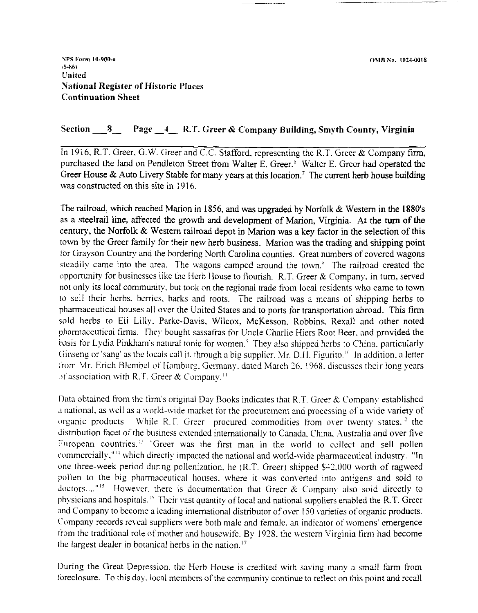**\PS Form IU-900-a**  *(8-86)*  **Cl~ited**  Uational Register **of** Historic Places Continuation Sheet

## Section **8** Page **-4-** R.T. Greer & Company Building, Smyth County, Virginia

In 1916. R.T. Greer. G.W. Greer and C.C. Stafford. representing the R.T. Greer & Company **firm,**  purchased the land on Pendleton Street from Walter E. Greer.<sup>6</sup> Walter E. Greer had operated the Greer House & Auto Livery Stable for many years at this location.<sup>7</sup> The current herb house building was constructed on this site in 1916.

The railroad, which reached Marion in 1856, and was upgraded by Nortolk & Western in the 1880's as a steelrail line, affected the growth and development of Marion, Virginia. At the **turn** of the century, the Norfolk & Western railroad depot in Marion was a key factor in the selection of this town by the Greer family for their new herb business. Marion was the trading and shipping point for Grayson Country and the bordering North Carolina counties. Great numbers of covered wagons steadily came into the area. The wagons camped around the town. $s$  The railroad created the opportunity for businesses like the Herb House to flourish. R.T. Greer & Company, in turn, served not only its local community. but took on the regional trade from local residents who came to town to sell their herbs. berries. barks and roots. The railroad was a means of shipping herbs to pharmaceutical houses all over the United States and to ports for transportation abroad. This firm sold herbs to Eli Lilly. Parke-Davis, Wilcox. McKesson, Robbins. Rexall and other noted pharmaceutical firms. They bought sassafras for Uncle Charlie Hiers Root Beer, and provided the hasis for Lydia Pinkham's natural tonic for women.<sup>9</sup> They also shipped herbs to China. particularly Ginseng or 'sang' as the locals call it. through a big supplier. Mr. D.H. Figurito." In addition. a letter trom Mr. Erich Blembel of Hamburg, Germany, dated March 26. 1968. discusses their long years of association with R.T. Greer & Company.<sup>11</sup>

Data obtained from the tirm's original Day Books indicates that R.T. Greer  $\&$  Company established a national, as well as a world-wide market for the procurement and processing of a wide variety of organic products. While R.T. Greer procured commodities from over twenty states, $^{12}$  the distribution facet of the business extended internationally to Canada. China. Australia and over five European countries.<sup>13</sup> "Greer was the first man in the world to collect and sell pollen commercially,"<sup>14</sup> which directly impacted the national and world-wide pharmaceutical industry. "In one three-week period during pollenization, he (R.T. Greer) shipped \$42.000 worth of ragweed pollen to the big pharmaceutical houses. where it was converted into antigens and sold to doctors...."<sup>15</sup> However, there is documentation that Greer & Company also sold directly to physicians and hospitals.<sup>16</sup> Their vast quantity of local and national suppliers enabled the R.T. Greer and Company to become a leading international distributor of over 150 varieties of organic products. Company records reveal suppliers were both male and female. an indicator of womens' emergence tiom the traditional role of mother and housewife. By 1928. the western Virginia firm had become the largest dealer in botanical herbs in the nation."

During the Great Depression. the Herb House is credited with saving many a small farm from foreclosure. To this day, local members of the community continue to reflect on this point and recall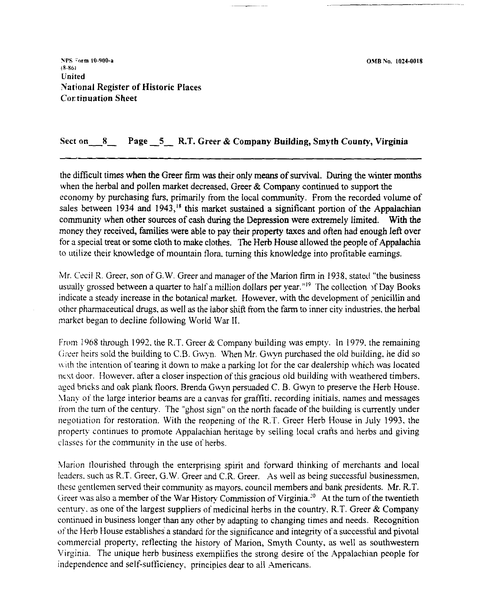0,MB No. 1024-0018

NPS *Form* 10-900-a **(8-861**  United National Register of Historic Places **Cortinuation Sheet** 

## Sect **on 8** Page **-5-** R.T. Greer & Company Building, Smyth County, Virginia

the difficult times when the Greer firm **was** their only means of survival. During the winter months when the herbal and pollen market decreased, Greer & Company continued to support the economy by purchasing furs, primarily from the local community. From the recorded volume of sales between 1934 and 1943,<sup>18</sup> this market sustained a significant portion of the Appalachian community when other sources of cash during the Depression were extremely limited. With the money they received, families were able to pay their property taxes and often had enough left over for a special treat or some cloth to make clothes. The Herb House allowed the people of Appalachia to utilize their knowledge of mountain flora. turning this knowledge into profitable earnings.

Mr. Cecil R. Greer, son of G.W. Greer and manager of the Marion firm in 1938, stated "the business usually grossed between a quarter to half a million dollars per year."<sup>19</sup> The collection of Day Books indicate a steady increase in the botanical market. However, with the development of penicillin and other pharmaceutical drugs, as well as the labor shift from the farm to inner city industries, the herbal market began to decline following World War 11.

From 1968 through 1992. the R.T. Greer & Company building was empty. In 1979. the remaining Greer heirs sold the building to C.B. Gwyn. When Mr. Gwyn purchased the old building, he did so with the intention of tearing it down to make a parking lot for the car dealership which was located nest door. However. after a closer inspection of this gracious old building with weathered timbers. aged bricks and oak plank floors. Brenda Gwyn persuaded C. B. Gwyn to preserve the Herb House. Many of the large interior beams are a canvas for graffiti. recording initials, names and messages from the turn of the century. The "ghost sign" on the north facade of the building is currently under negotiation for restoration. With the reopening of the R.T. Greer Herb House in July 1993, the property continues to promote Appalachian heritage by selling local crafis and herbs and giving classes for the community in the use of herbs.

Marion flourished through the enterprising spirit and forward thinking of merchants and local leaders. such as R.T. Greer. G.W. Greer and C.R. Greer. As well as being successful businessmen. these gentlemen served their community as mayors. council members and bank presidents. Mr. R.T. Greer was also a member of the War History Commission of Virginia.<sup>20</sup> At the turn of the twentieth century, as one of the largest suppliers of medicinal herbs in the country, R.T. Greer  $\&$  Company continued in business longer than any other by adapting to changing times and needs. Recognition of the Herb House establishes a standard for the significance and integrity of a successful and pivotal commercial property, reflecting the history of Marion, Smyth County, as well as southwestern Virginia. The unique herb business exemplifies the strong desire of the Appalachian people for independence and self-sufficiency, principles dear to all Americans.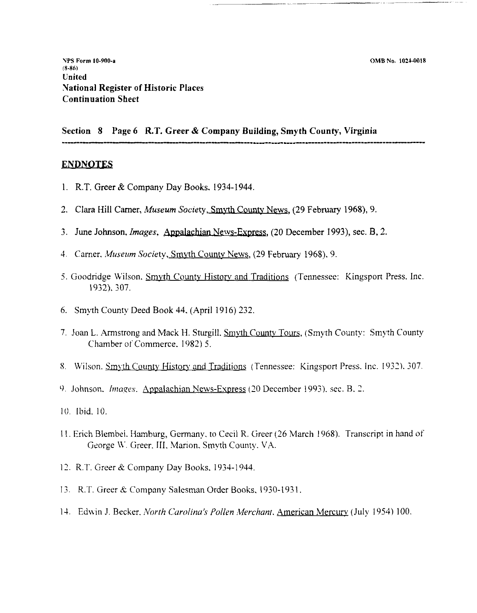**Section 8 Page 6 R.T. Greer** & **Company Building, Smyth County, Virginia**  -------- ...............................................................................

## **ENDNOTES**

- 1. R.T. Greer & Company Day Books. 1934-1944.
- 2. Clara Hill Carner, *Museum Society,* Smvth Countv News, (29 February 1968), 9.
- 3. June Johnson, *Images*, Appalachian News-Express, (20 December 1993), sec. B, 2.
- 4. Carner. *Museum Society*, Smyth County News, (29 February 1968). 9.
- 5. Goodridge Wilson, Smyth County History and Traditions (Tennessee: Kingsport Press, Inc. 1932). 307.
- 6. Smyth County Deed Book 44. (April 1916) 232.
- 7. Joan L. Armstrong and Mack H. Sturgill. Smyth County Tours, (Smyth County: Smyth County Chamber of Commerce, 1982) 5.
- 8. Wilson. Smyth County History and Traditions (Tennessee: Kingsport Press. Inc. 1932). 307.
- 9. Johnson. *Images.* Appalachian News-Express (20 December 1993), sec. B. 2.
- 10. Ibid. 10.
- I I. Erich Blembel. Hamburg, Gennany. to Cecil R. Greer *(26* March 1968). Transcript in hand of George **\I..** Greer. 111. Marion. Smyth County. VA.
- 12. R.T. Greer & Company Day Books, 1934-1944.
- 13. R:T. Greer **it** Company Salesman Order Books. 1930-193 1.
- 14. Edwin J. Becker. North Carolina's Pollen Merchant. American Mercury (July 1954) 100.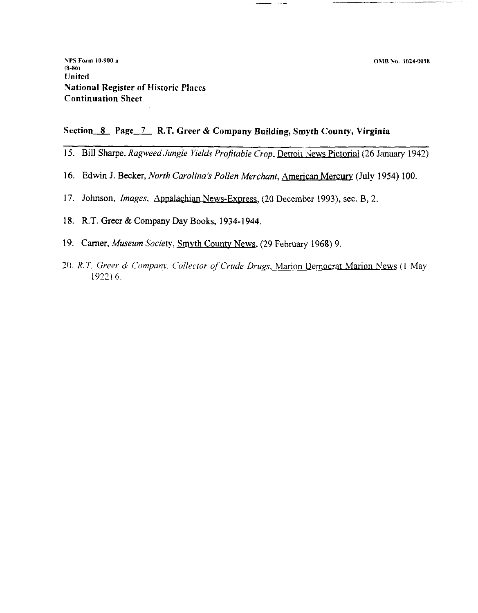## Section 8 Page 7 R.T. Greer & Company Building, Smyth County, Virginia

- 15. Bill Sharpe. *Ragweed Jungle Yields Profitable Crop*, <u>Detroit :News Pictorial</u> (26 January 1942)
- 16. Edwin J. Becker, *North Carolina's Pollen Merchant*, **American Mercury** (July 1954) 100.
- 17. Johnson, *Images*, **Appalachian News-Express**, (20 December 1993), sec. B, 2.
- **18. R.T. Greer** & **Company Day Books, 1934-1944.**
- **19. Camer,** *Museum Society,* **Srnvth Countv News, (29** February **1968) 9.**
- 20. R.T. Greer & *Company. Collector of Crude Drugs*, Marion Democrat Marion News (I May 19231 *6.*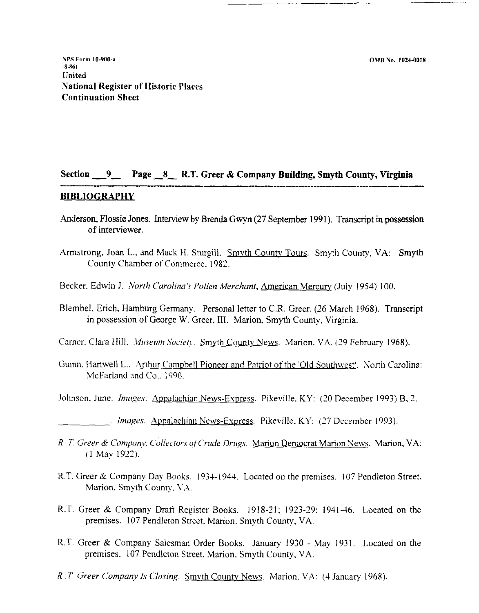OMB No. 1024-0018

YPS **Form 10-900-8 1846) United Uational Register of Historic Places Continuation Sheet** 

# **Section 9 Page -8- R.T. Greer** & **Company Building, Smyth County, Virginia**  -- --- ................................................

## **BIBLIOGRAPHY**

- Anderson, Flossie Jones. Interview by Brenda Gwyn (27 September 1991). Transcript in possession of interviewer.
- Armstrong, Joan L., and Mack H. Sturgill. Smyth County Tours. Smyth County, VA: Smyth County Chamber of Commerce. 1982.
- Becker. Edwin J. *North Carolina's Pollen Merchant*, *American Mercury (July 1954) 100.*
- Blembel. Erich. Hamburg Germany. Personal letter to C.R. Greer. (26 March 1968). Transcript in possession of Georee W. Greer. 111. Marion. Smyth County, Virginia.
- Carner. Clara Hill. *Museum Society.* Smyth County News. Marion. VA. (29 February 1968).
- Guinn, Hartwell L.. Arthur Campbell Pioneer and Patriot of the 'Old Southwest'. North Carolina: .McFarland and Co.. 1990.
- Johnson. June. *Images.* Appalachian News-Express. Pikeville. KY: (20 December 1993) B, 2.
- . *Images.* <u>Appalachian News-Express</u>. Pikeville, KY: (27 December 1993).
- *R. T. Greer & Company, Collectors of Crude Drugs. Marion Democrat Marion News. Marion, VA:* (1 May 1922).
- R.T. Greer & Company Day Books. 1934-1944. Located on the premises. 107 Pendleton Street, Marion. Smyth County. VA.
- R.T. Greer & Company Draft Register Books. 1918-21: 1923-29: 1941-46. Located on the premises. 107 Pendleton Street. Marion. Smyth County, VA.
- R.T. Greer & Company Salesman Order Books. January 1930 May 1931. Located on the premises. 107 Pendleton Street. Marion. Smyth County, VA.
- *R.. T. Greer Company Is Closing.* Smvth County News. Marion. VA: (4 January 1968).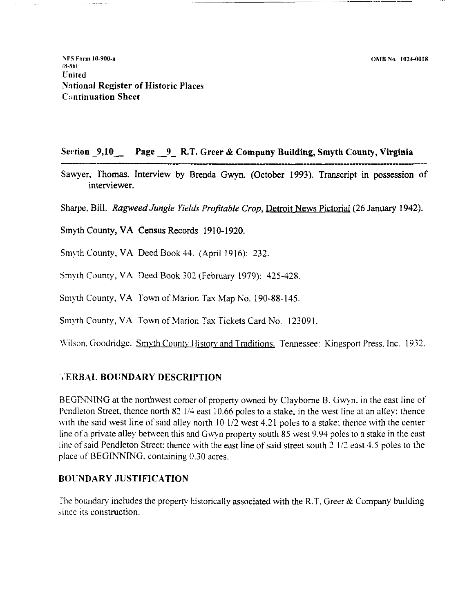**VPS Form 10-900-n 18-86) United**  Yntional Register of Historic Places Continuation Sheet

## Se~:tion - **9,10-** Page **-9-** R.T. Greer & Company Building, Smyth County, Virginia

Continuation Sheet<br>Continuation Sheet<br>Section \_9,10\_\_\_\_\_Page \_\_9\_\_R.T. Greer &<br>Sawyer, Thomas. Interview by Brenda Gv Sawyer, Thomas. Interview by Brenda Gwyn. (October 1993). Transcript in possession of interviewer.

Sharpe, Bill. Ragweed Jungle Yields Profitable Crop, Detroit News Pictorial (26 January 1942).

Smyth County, VA Census Records 1910-1920.

Smyth County, VA Deed Book 44. (April 1916): 232

Smyth County, VA Deed Book 302 (February 1979): 425-428

Smyth County, VA Town of Marion Tax Map No. 190-88-145.

Smyth County, VA Town of Marion Tax Tickets Card No. 123091.

Wilson. Goodridge. Smyth County History and Traditions. Tennessee: Kingsport Press. Inc. 1932.

## \.ERBAL BOUNDARY DESCRIPTION

BEGINNING at the northwest corner of property owned by Clayborne B. Gwyn. in the east line of Pendleton Street, thence north 82 1/4 east 10.66 poles to a stake, in the west line at an alley; thence with the said west line of said alley north 10 1/2 west 4.21 poles to a stake: thence with the center line of a private alley between this and Gwyn property south 85 west 9.94 poles to a stake in the east line of said Pendleton Street: thence with the east line of said street south  $2\frac{1}{2}$  east 4.5 poles to the place of BEGINNING. containing 0.30 acres.

## BOLNDARY JUSTIFICATION

The boundary includes the property historically associated with the R.T. Greer  $\&$  Company building since its construction.